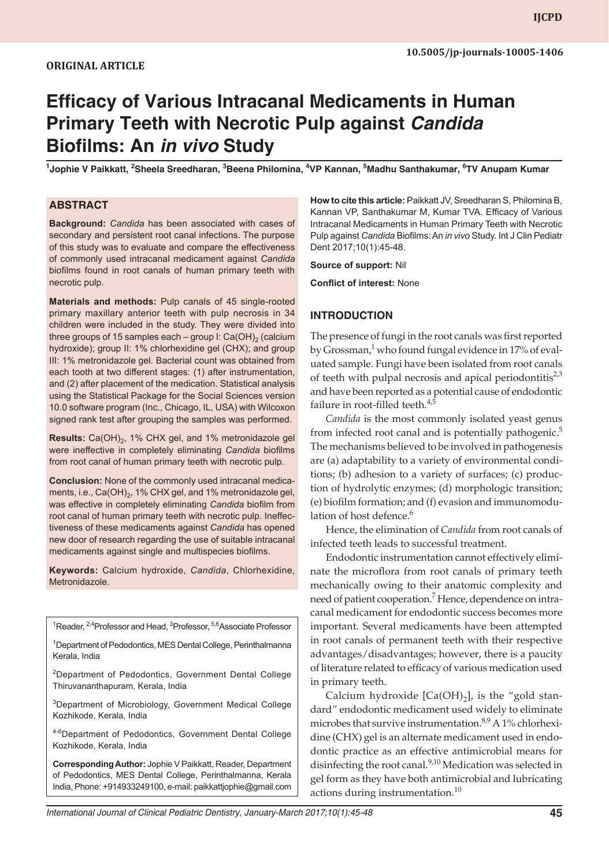# **Efficacy of Various Intracanal Medicaments in Human Primary Teeth with Necrotic Pulp against** *Candida* **Biofilms: An** *in vivo* **Study**

**1 Jophie V Paikkatt, <sup>2</sup> Sheela Sreedharan, <sup>3</sup> Beena Philomina, <sup>4</sup> VP Kannan, <sup>5</sup> Madhu Santhakumar, <sup>6</sup> TV Anupam Kumar**

#### **ABSTRACT**

**Background:** *Candida* has been associated with cases of secondary and persistent root canal infections. The purpose of this study was to evaluate and compare the effectiveness of commonly used intracanal medicament against *Candida* biofilms found in root canals of human primary teeth with necrotic pulp.

**Materials and methods:** Pulp canals of 45 single-rooted primary maxillary anterior teeth with pulp necrosis in 34 children were included in the study. They were divided into three groups of 15 samples each – group I: Ca(OH)<sub>2</sub> (calcium hydroxide); group II: 1% chlorhexidine gel (CHX); and group III: 1% metronidazole gel. Bacterial count was obtained from each tooth at two different stages: (1) after instrumentation, and (2) after placement of the medication. Statistical analysis using the Statistical Package for the Social Sciences version 10.0 software program (Inc., Chicago, IL, USA) with Wilcoxon signed rank test after grouping the samples was performed.

**Results:** Ca(OH)<sub>2</sub>, 1% CHX gel, and 1% metronidazole gel were ineffective in completely eliminating *Candida* biofilms from root canal of human primary teeth with necrotic pulp.

**Conclusion:** None of the commonly used intracanal medicaments, i.e.,  $Ca(OH)_2$ , 1% CHX gel, and 1% metronidazole gel, was effective in completely eliminating *Candida* biofilm from root canal of human primary teeth with necrotic pulp. Ineffectiveness of these medicaments against *Candida* has opened new door of research regarding the use of suitable intracanal medicaments against single and multispecies biofilms.

**Keywords:** Calcium hydroxide, *Candida*, Chlorhexidine, Metronidazole.

<sup>1</sup>Reader, <sup>2,4</sup>Professor and Head, <sup>3</sup>Professor, <sup>5,6</sup>Associate Professor

<sup>1</sup>Department of Pedodontics, MES Dental College, Perinthalmanna Kerala, India

<sup>2</sup>Department of Pedodontics, Government Dental College Thiruvananthapuram, Kerala, India

<sup>3</sup>Department of Microbiology, Government Medical College Kozhikode, Kerala, India

4-6Department of Pedodontics, Government Dental College Kozhikode, Kerala, India

**Corresponding Author:** Jophie V Paikkatt, Reader, Department of Pedodontics, MES Dental College, Perinthalmanna, Kerala India, Phone: +914933249100, e-mail: paikkattjophie@gmail.com **How to cite this article:** Paikkatt JV, Sreedharan S, Philomina B, Kannan VP, Santhakumar M, Kumar TVA. Efficacy of Various Intracanal Medicaments in Human Primary Teeth with Necrotic Pulp against *Candida* Biofilms: An *in vivo* Study. Int J Clin Pediatr Dent 2017;10(1):45-48.

**Source of support:** Nil

**Conflict of interest:** None

#### **INTRODUCTION**

The presence of fungi in the root canals was first reported by Grossman,<sup>1</sup> who found fungal evidence in 17% of evaluated sample. Fungi have been isolated from root canals of teeth with pulpal necrosis and apical periodontitis $2^3$ and have been reported as a potential cause of endodontic failure in root-filled teeth.<sup>4,5</sup>

*Candida* is the most commonly isolated yeast genus from infected root canal and is potentially pathogenic.<sup>5</sup> The mechanisms believed to be involved in pathogenesis are (a) adaptability to a variety of environmental conditions; (b) adhesion to a variety of surfaces; (c) production of hydrolytic enzymes; (d) morphologic transition; (e) biofilm formation; and (f) evasion and immunomodulation of host defence.<sup>6</sup>

Hence, the elimination of *Candida* from root canals of infected teeth leads to successful treatment.

Endodontic instrumentation cannot effectively eliminate the microflora from root canals of primary teeth mechanically owing to their anatomic complexity and need of patient cooperation.<sup>7</sup> Hence, dependence on intracanal medicament for endodontic success becomes more important. Several medicaments have been attempted in root canals of permanent teeth with their respective advantages/disadvantages; however, there is a paucity of literature related to efficacy of various medication used in primary teeth.

Calcium hydroxide  $[Ca(OH)_2]$ , is the "gold standard" endodontic medicament used widely to eliminate microbes that survive instrumentation.8,9 A 1% chlorhexidine (CHX) gel is an alternate medicament used in endodontic practice as an effective antimicrobial means for disinfecting the root canal.<sup>9,10</sup> Medication was selected in gel form as they have both antimicrobial and lubricating actions during instrumentation.<sup>10</sup>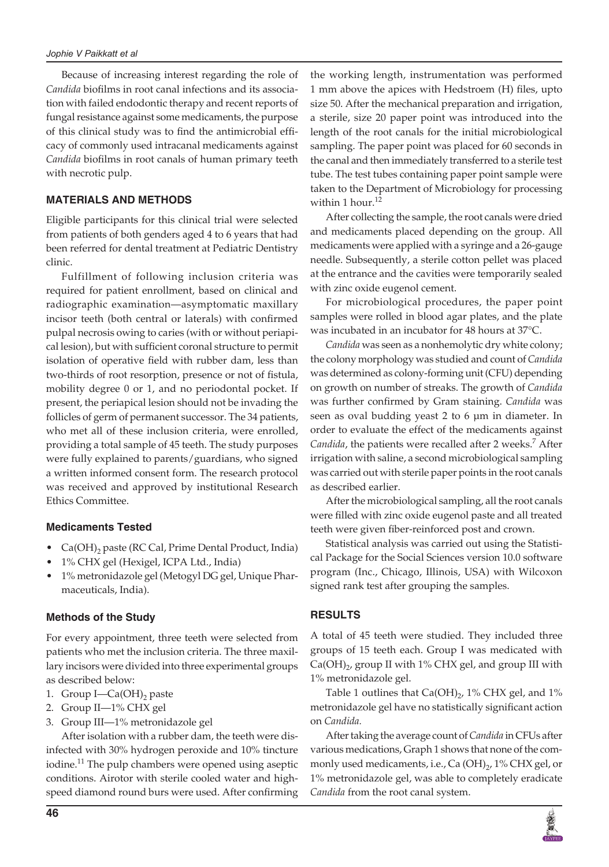Because of increasing interest regarding the role of *Candida* biofilms in root canal infections and its association with failed endodontic therapy and recent reports of fungal resistance against some medicaments, the purpose of this clinical study was to find the antimicrobial efficacy of commonly used intracanal medicaments against *Candida* biofilms in root canals of human primary teeth with necrotic pulp.

### **MATERIALS AND METHODS**

Eligible participants for this clinical trial were selected from patients of both genders aged 4 to 6 years that had been referred for dental treatment at Pediatric Dentistry clinic.

Fulfillment of following inclusion criteria was required for patient enrollment, based on clinical and radiographic examination—asymptomatic maxillary incisor teeth (both central or laterals) with confirmed pulpal necrosis owing to caries (with or without periapical lesion), but with sufficient coronal structure to permit isolation of operative field with rubber dam, less than two-thirds of root resorption, presence or not of fistula, mobility degree 0 or 1, and no periodontal pocket. If present, the periapical lesion should not be invading the follicles of germ of permanent successor. The 34 patients, who met all of these inclusion criteria, were enrolled, providing a total sample of 45 teeth. The study purposes were fully explained to parents/guardians, who signed a written informed consent form. The research protocol was received and approved by institutional Research Ethics Committee.

## **Medicaments Tested**

- $Ca(OH)_2$  paste (RC Cal, Prime Dental Product, India)
- 1% CHX gel (Hexigel, ICPA Ltd., India)
- 1% metronidazole gel (Metogyl DG gel, Unique Pharmaceuticals, India).

#### **Methods of the Study**

For every appointment, three teeth were selected from patients who met the inclusion criteria. The three maxillary incisors were divided into three experimental groups as described below:

- 1. Group  $I—Ca(OH)<sub>2</sub>$  paste
- 2. Group II—1% CHX gel
- 3. Group III—1% metronidazole gel

After isolation with a rubber dam, the teeth were disinfected with 30% hydrogen peroxide and 10% tincture iodine.<sup>11</sup> The pulp chambers were opened using aseptic conditions. Airotor with sterile cooled water and highspeed diamond round burs were used. After confirming

the working length, instrumentation was performed 1 mm above the apices with Hedstroem (H) files, upto size 50. After the mechanical preparation and irrigation, a sterile, size 20 paper point was introduced into the length of the root canals for the initial microbiological sampling. The paper point was placed for 60 seconds in the canal and then immediately transferred to a sterile test tube. The test tubes containing paper point sample were taken to the Department of Microbiology for processing within 1 hour. $12$ 

After collecting the sample, the root canals were dried and medicaments placed depending on the group. All medicaments were applied with a syringe and a 26-gauge needle. Subsequently, a sterile cotton pellet was placed at the entrance and the cavities were temporarily sealed with zinc oxide eugenol cement.

For microbiological procedures, the paper point samples were rolled in blood agar plates, and the plate was incubated in an incubator for 48 hours at 37°C.

*Candida* was seen as a nonhemolytic dry white colony; the colony morphology was studied and count of *Candida* was determined as colony-forming unit (CFU) depending on growth on number of streaks. The growth of *Candida* was further confirmed by Gram staining. *Candida* was seen as oval budding yeast 2 to 6 μm in diameter. In order to evaluate the effect of the medicaments against Candida, the patients were recalled after 2 weeks.<sup>7</sup> After irrigation with saline, a second microbiological sampling was carried out with sterile paper points in the root canals as described earlier.

After the microbiological sampling, all the root canals were filled with zinc oxide eugenol paste and all treated teeth were given fiber-reinforced post and crown.

Statistical analysis was carried out using the Statistical Package for the Social Sciences version 10.0 software program (Inc., Chicago, Illinois, USA) with Wilcoxon signed rank test after grouping the samples.

## **RESULTS**

A total of 45 teeth were studied. They included three groups of 15 teeth each. Group I was medicated with  $Ca(OH)_{2}$ , group II with 1% CHX gel, and group III with 1% metronidazole gel.

Table 1 outlines that  $Ca(OH)_2$ , 1% CHX gel, and 1% metronidazole gel have no statistically significant action on *Candida.*

After taking the average count of *Candida* in CFUs after various medications, Graph 1 shows that none of the commonly used medicaments, i.e., Ca (OH)<sub>2</sub>, 1% CHX gel, or 1% metronidazole gel, was able to completely eradicate *Candida* from the root canal system.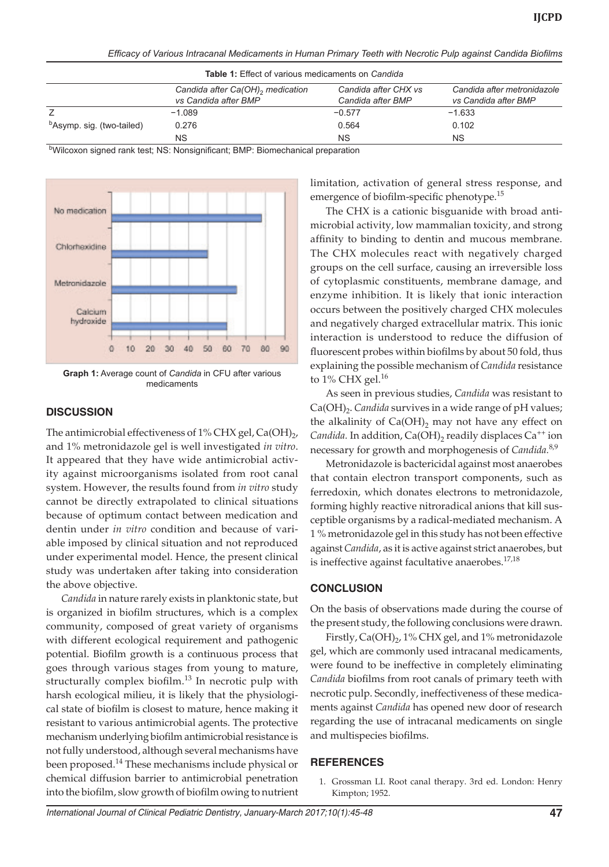| <b>Table 1:</b> Effect of various medicaments on <i>Candida</i> |                                                                      |                                           |                                                     |
|-----------------------------------------------------------------|----------------------------------------------------------------------|-------------------------------------------|-----------------------------------------------------|
|                                                                 | Candida after Ca(OH) <sub>2</sub> medication<br>vs Candida after BMP | Candida after CHX vs<br>Candida after BMP | Candida after metronidazole<br>vs Candida after BMP |
|                                                                 | $-1.089$                                                             | $-0.577$                                  | $-1.633$                                            |
| <sup>b</sup> Asymp. sig. (two-tailed)                           | 0.276                                                                | 0.564                                     | 0.102                                               |
|                                                                 | ΝS                                                                   | NS.                                       | <b>NS</b>                                           |

*Efficacy of Various Intracanal Medicaments in Human Primary Teeth with Necrotic Pulp against Candida Biofilms*

<sup>b</sup>Wilcoxon signed rank test; NS: Nonsignificant; BMP: Biomechanical preparation



**Graph 1:** Average count of *Candida* in CFU after various medicaments

#### **DISCUSSION**

The antimicrobial effectiveness of 1% CHX gel, Ca(OH)<sub>2</sub>, and 1% metronidazole gel is well investigated *in vitro*. It appeared that they have wide antimicrobial activity against microorganisms isolated from root canal system. However, the results found from *in vitro* study cannot be directly extrapolated to clinical situations because of optimum contact between medication and dentin under *in vitro* condition and because of variable imposed by clinical situation and not reproduced under experimental model. Hence, the present clinical study was undertaken after taking into consideration the above objective.

*Candida* in nature rarely exists in planktonic state, but is organized in biofilm structures, which is a complex community, composed of great variety of organisms with different ecological requirement and pathogenic potential. Biofilm growth is a continuous process that goes through various stages from young to mature, structurally complex biofilm. $^{13}$  In necrotic pulp with harsh ecological milieu, it is likely that the physiological state of biofilm is closest to mature, hence making it resistant to various antimicrobial agents. The protective mechanism underlying biofilm antimicrobial resistance is not fully understood, although several mechanisms have been proposed.<sup>14</sup> These mechanisms include physical or chemical diffusion barrier to antimicrobial penetration into the biofilm, slow growth of biofilm owing to nutrient

limitation, activation of general stress response, and emergence of biofilm-specific phenotype.<sup>15</sup>

The CHX is a cationic bisguanide with broad antimicrobial activity, low mammalian toxicity, and strong affinity to binding to dentin and mucous membrane. The CHX molecules react with negatively charged groups on the cell surface, causing an irreversible loss of cytoplasmic constituents, membrane damage, and enzyme inhibition. It is likely that ionic interaction occurs between the positively charged CHX molecules and negatively charged extracellular matrix. This ionic interaction is understood to reduce the diffusion of fluorescent probes within biofilms by about 50 fold, thus explaining the possible mechanism of *Candida* resistance to  $1\%$  CHX gel.<sup>16</sup>

As seen in previous studies, *Candida* was resistant to Ca(OH)<sub>2</sub>. *Candida* survives in a wide range of pH values; the alkalinity of  $Ca(OH)_{2}$  may not have any effect on *Candida*. In addition,  $Ca(OH)_2$  readily displaces  $Ca^{++}$  ion necessary for growth and morphogenesis of *Candida.*8,9

Metronidazole is bactericidal against most anaerobes that contain electron transport components, such as ferredoxin, which donates electrons to metronidazole, forming highly reactive nitroradical anions that kill susceptible organisms by a radical-mediated mechanism. A 1 % metronidazole gel in this study has not been effective against *Candida*, as it is active against strict anaerobes, but is ineffective against facultative anaerobes.<sup>17,18</sup>

## **CONCLUSION**

On the basis of observations made during the course of the present study, the following conclusions were drawn.

Firstly,  $Ca(OH)_2$ , 1% CHX gel, and 1% metronidazole gel, which are commonly used intracanal medicaments, were found to be ineffective in completely eliminating *Candida* biofilms from root canals of primary teeth with necrotic pulp. Secondly, ineffectiveness of these medicaments against *Candida* has opened new door of research regarding the use of intracanal medicaments on single and multispecies biofilms.

## **REFERENCES**

1. Grossman LI. Root canal therapy. 3rd ed. London: Henry Kimpton; 1952.